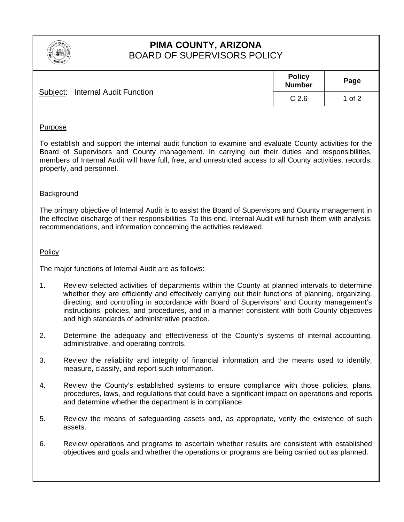

# **PIMA COUNTY, ARIZONA**  BOARD OF SUPERVISORS POLICY

| Subject: Internal Audit Function | <b>Policy</b><br><b>Number</b> | Page   |
|----------------------------------|--------------------------------|--------|
|                                  | C <sub>2.6</sub>               | 1 of 2 |

## Purpose

To establish and support the internal audit function to examine and evaluate County activities for the Board of Supervisors and County management. In carrying out their duties and responsibilities, members of Internal Audit will have full, free, and unrestricted access to all County activities, records, property, and personnel.

## Background

The primary objective of Internal Audit is to assist the Board of Supervisors and County management in the effective discharge of their responsibilities. To this end, Internal Audit will furnish them with analysis, recommendations, and information concerning the activities reviewed.

### Policy

The major functions of Internal Audit are as follows:

- 1. Review selected activities of departments within the County at planned intervals to determine whether they are efficiently and effectively carrying out their functions of planning, organizing, directing, and controlling in accordance with Board of Supervisors' and County management's instructions, policies, and procedures, and in a manner consistent with both County objectives and high standards of administrative practice.
- 2. Determine the adequacy and effectiveness of the County's systems of internal accounting, administrative, and operating controls.
- 3. Review the reliability and integrity of financial information and the means used to identify, measure, classify, and report such information.
- 4. Review the County's established systems to ensure compliance with those policies, plans, procedures, laws, and regulations that could have a significant impact on operations and reports and determine whether the department is in compliance.
- 5. Review the means of safeguarding assets and, as appropriate, verify the existence of such assets.
- 6. Review operations and programs to ascertain whether results are consistent with established objectives and goals and whether the operations or programs are being carried out as planned.